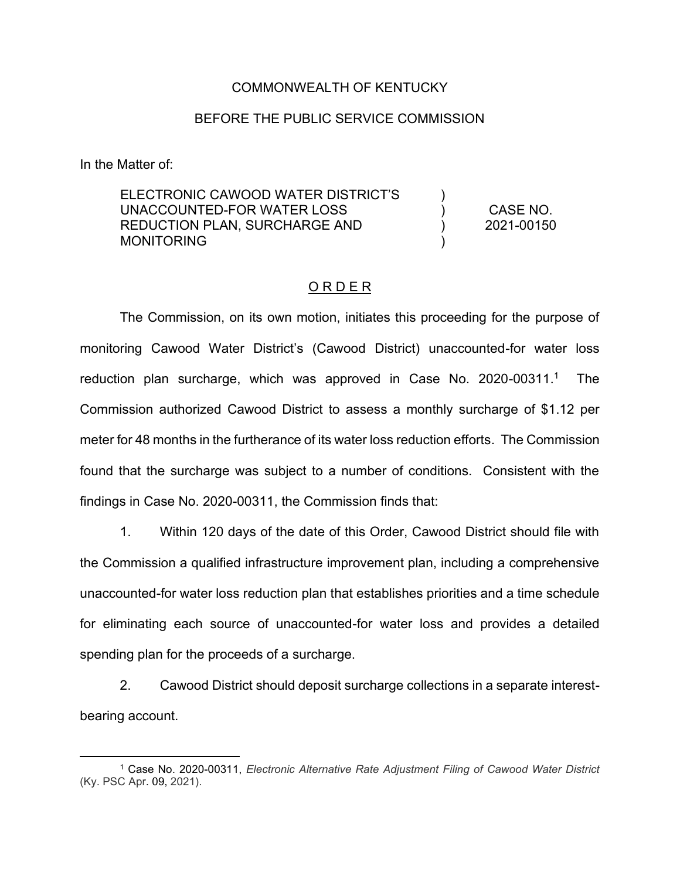## COMMONWEALTH OF KENTUCKY

## BEFORE THE PUBLIC SERVICE COMMISSION

In the Matter of:

ELECTRONIC CAWOOD WATER DISTRICT'S UNACCOUNTED-FOR WATER LOSS REDUCTION PLAN, SURCHARGE AND **MONITORING** ) ) ) ) CASE NO. 2021-00150

## O R D E R

The Commission, on its own motion, initiates this proceeding for the purpose of monitoring Cawood Water District's (Cawood District) unaccounted-for water loss reduction plan surcharge, which was approved in Case No. 2020-00311.<sup>1</sup> The Commission authorized Cawood District to assess a monthly surcharge of \$1.12 per meter for 48 months in the furtherance of its water loss reduction efforts. The Commission found that the surcharge was subject to a number of conditions. Consistent with the findings in Case No. 2020-00311, the Commission finds that:

1. Within 120 days of the date of this Order, Cawood District should file with the Commission a qualified infrastructure improvement plan, including a comprehensive unaccounted-for water loss reduction plan that establishes priorities and a time schedule for eliminating each source of unaccounted-for water loss and provides a detailed spending plan for the proceeds of a surcharge.

2. Cawood District should deposit surcharge collections in a separate interestbearing account.

<sup>1</sup> Case No. 2020-00311, *Electronic Alternative Rate Adjustment Filing of Cawood Water District*  (Ky. PSC Apr. 09, 2021).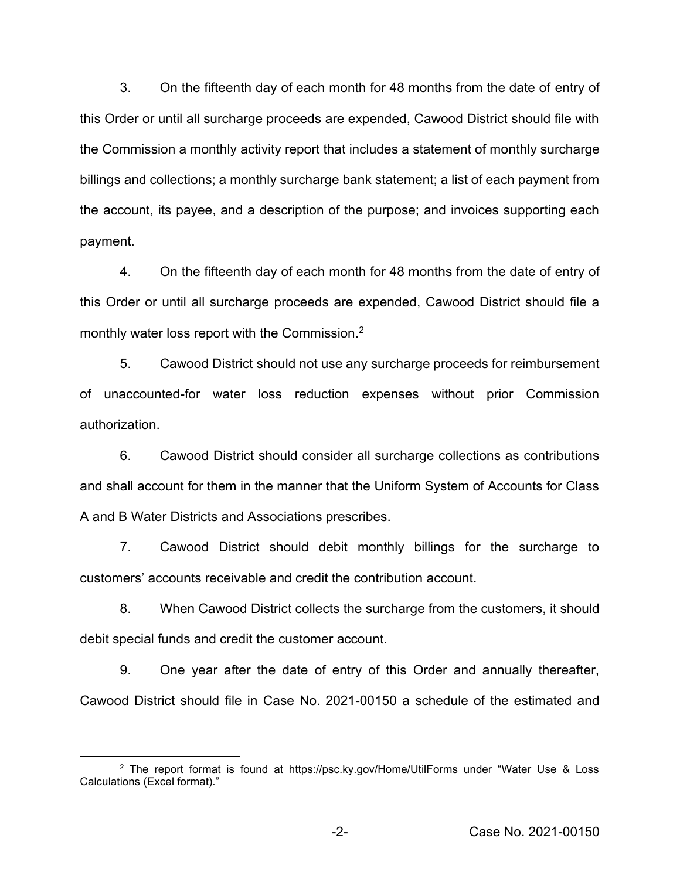3. On the fifteenth day of each month for 48 months from the date of entry of this Order or until all surcharge proceeds are expended, Cawood District should file with the Commission a monthly activity report that includes a statement of monthly surcharge billings and collections; a monthly surcharge bank statement; a list of each payment from the account, its payee, and a description of the purpose; and invoices supporting each payment.

4. On the fifteenth day of each month for 48 months from the date of entry of this Order or until all surcharge proceeds are expended, Cawood District should file a monthly water loss report with the Commission.2

5. Cawood District should not use any surcharge proceeds for reimbursement of unaccounted-for water loss reduction expenses without prior Commission authorization.

6. Cawood District should consider all surcharge collections as contributions and shall account for them in the manner that the Uniform System of Accounts for Class A and B Water Districts and Associations prescribes.

7. Cawood District should debit monthly billings for the surcharge to customers' accounts receivable and credit the contribution account.

8. When Cawood District collects the surcharge from the customers, it should debit special funds and credit the customer account.

9. One year after the date of entry of this Order and annually thereafter, Cawood District should file in Case No. 2021-00150 a schedule of the estimated and

<sup>2</sup> The report format is found at https://psc.ky.gov/Home/UtilForms under "Water Use & Loss Calculations (Excel format)."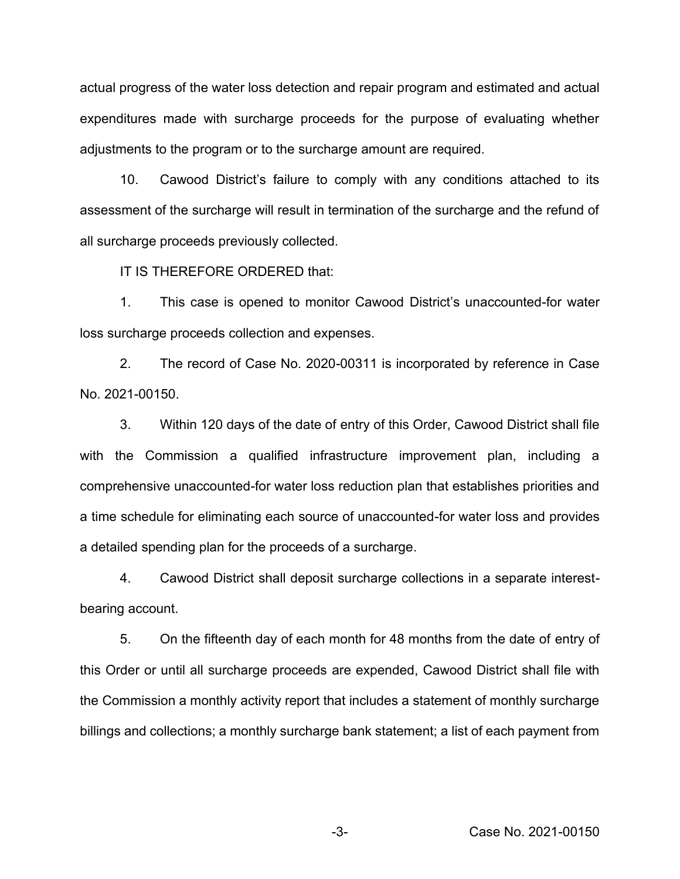actual progress of the water loss detection and repair program and estimated and actual expenditures made with surcharge proceeds for the purpose of evaluating whether adjustments to the program or to the surcharge amount are required.

10. Cawood District's failure to comply with any conditions attached to its assessment of the surcharge will result in termination of the surcharge and the refund of all surcharge proceeds previously collected.

IT IS THEREFORE ORDERED that:

1. This case is opened to monitor Cawood District's unaccounted-for water loss surcharge proceeds collection and expenses.

2. The record of Case No. 2020-00311 is incorporated by reference in Case No. 2021-00150.

3. Within 120 days of the date of entry of this Order, Cawood District shall file with the Commission a qualified infrastructure improvement plan, including a comprehensive unaccounted-for water loss reduction plan that establishes priorities and a time schedule for eliminating each source of unaccounted-for water loss and provides a detailed spending plan for the proceeds of a surcharge.

4. Cawood District shall deposit surcharge collections in a separate interestbearing account.

5. On the fifteenth day of each month for 48 months from the date of entry of this Order or until all surcharge proceeds are expended, Cawood District shall file with the Commission a monthly activity report that includes a statement of monthly surcharge billings and collections; a monthly surcharge bank statement; a list of each payment from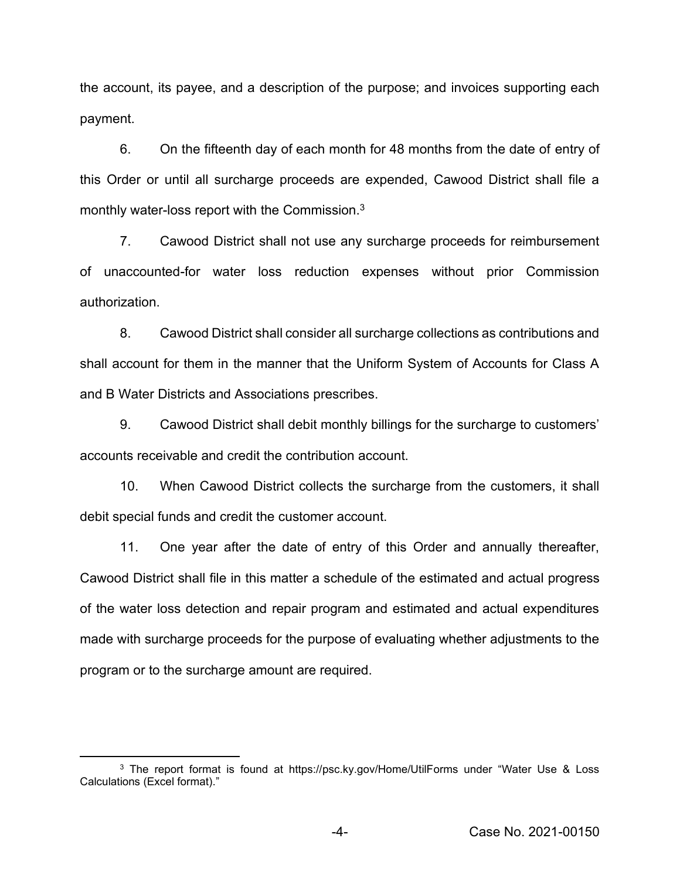the account, its payee, and a description of the purpose; and invoices supporting each payment.

6. On the fifteenth day of each month for 48 months from the date of entry of this Order or until all surcharge proceeds are expended, Cawood District shall file a monthly water-loss report with the Commission.3

7. Cawood District shall not use any surcharge proceeds for reimbursement of unaccounted-for water loss reduction expenses without prior Commission authorization.

8. Cawood District shall consider all surcharge collections as contributions and shall account for them in the manner that the Uniform System of Accounts for Class A and B Water Districts and Associations prescribes.

9. Cawood District shall debit monthly billings for the surcharge to customers' accounts receivable and credit the contribution account.

10. When Cawood District collects the surcharge from the customers, it shall debit special funds and credit the customer account.

11. One year after the date of entry of this Order and annually thereafter, Cawood District shall file in this matter a schedule of the estimated and actual progress of the water loss detection and repair program and estimated and actual expenditures made with surcharge proceeds for the purpose of evaluating whether adjustments to the program or to the surcharge amount are required.

<sup>3</sup> The report format is found at https://psc.ky.gov/Home/UtilForms under "Water Use & Loss Calculations (Excel format)."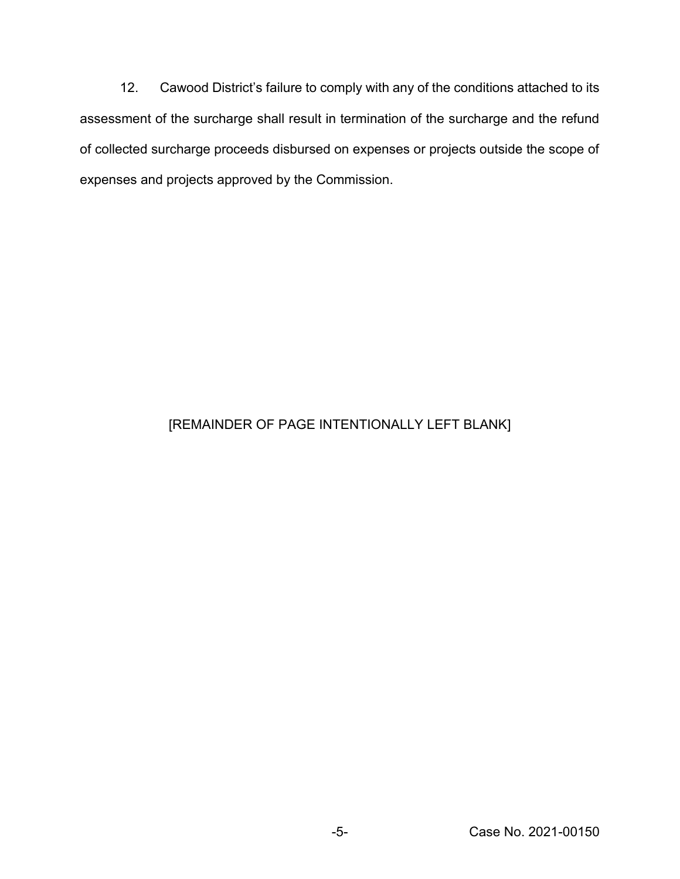12. Cawood District's failure to comply with any of the conditions attached to its assessment of the surcharge shall result in termination of the surcharge and the refund of collected surcharge proceeds disbursed on expenses or projects outside the scope of expenses and projects approved by the Commission.

## [REMAINDER OF PAGE INTENTIONALLY LEFT BLANK]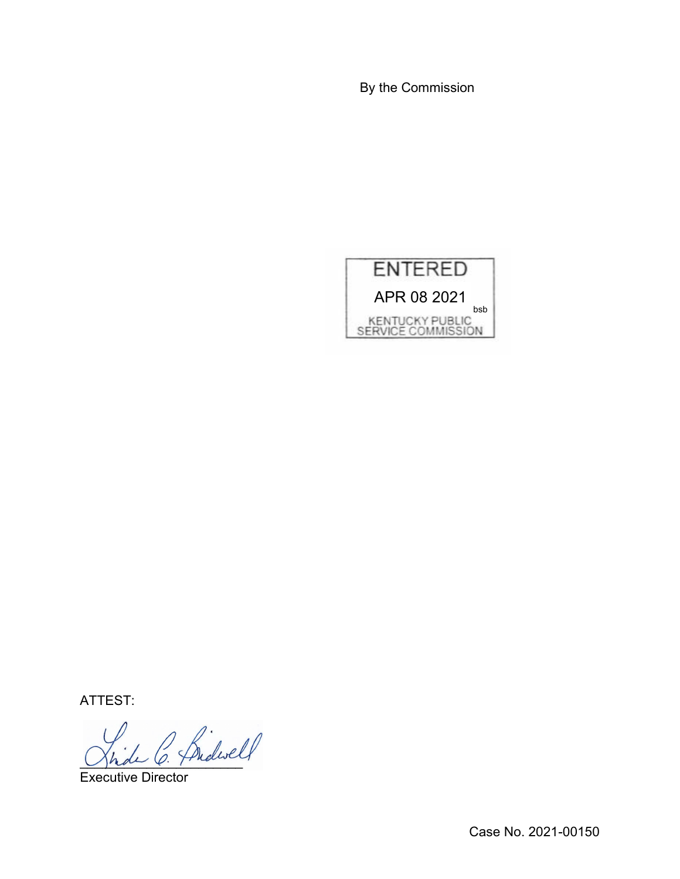By the Commission



ATTEST:

Jhde O. Fridance

Executive Director

Case No. 2021-00150